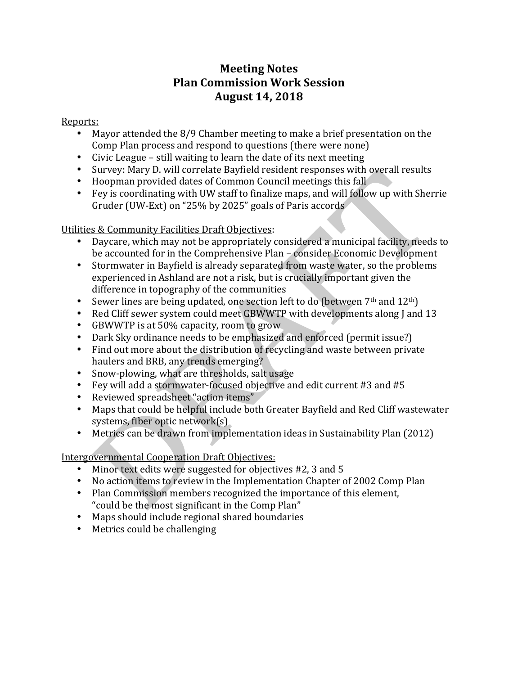# **Meeting Notes Plan Commission Work Session August 14, 2018**

### Reports:

- Mayor attended the  $8/9$  Chamber meeting to make a brief presentation on the Comp Plan process and respond to questions (there were none)
- Civic League still waiting to learn the date of its next meeting
- Survey: Mary D. will correlate Bayfield resident responses with overall results
- Hoopman provided dates of Common Council meetings this fall
- Fey is coordinating with UW staff to finalize maps, and will follow up with Sherrie Gruder (UW-Ext) on "25% by 2025" goals of Paris accords

### Utilities & Community Facilities Draft Objectives:

- Daycare, which may not be appropriately considered a municipal facility, needs to be accounted for in the Comprehensive Plan – consider Economic Development
- Stormwater in Bayfield is already separated from waste water, so the problems experienced in Ashland are not a risk, but is crucially important given the difference in topography of the communities
- Sewer lines are being updated, one section left to do (between  $7<sup>th</sup>$  and  $12<sup>th</sup>$ )
- Red Cliff sewer system could meet GBWWTP with developments along J and 13
- GBWWTP is at 50% capacity, room to grow
- Dark Sky ordinance needs to be emphasized and enforced (permit issue?)
- Find out more about the distribution of recycling and waste between private haulers and BRB, any trends emerging?
- Snow-plowing, what are thresholds, salt usage
- Fey will add a stormwater-focused objective and edit current #3 and #5
- Reviewed spreadsheet "action items"
- Maps that could be helpful include both Greater Bayfield and Red Cliff wastewater systems, fiber optic network $(s)$
- Metrics can be drawn from implementation ideas in Sustainability Plan (2012)

## Intergovernmental Cooperation Draft Objectives:

- Minor text edits were suggested for objectives #2, 3 and 5
- No action items to review in the Implementation Chapter of 2002 Comp Plan
- Plan Commission members recognized the importance of this element, " could be the most significant in the Comp Plan"
- Maps should include regional shared boundaries
- Metrics could be challenging